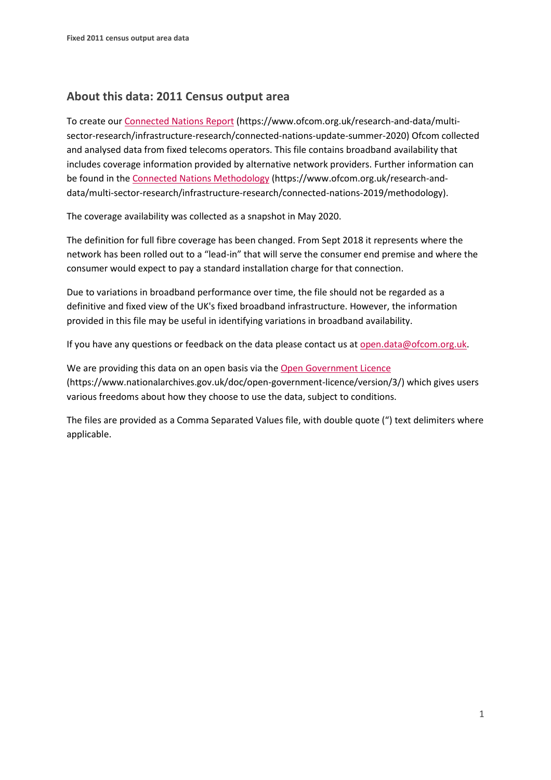## **About this data: 2011 Census output area**

To create ou[r Connected Nations Report](https://www.ofcom.org.uk/research-and-data/multi-sector-research/infrastructure-research/connected-nations-update-summer-2020) (https://www.ofcom.org.uk/research-and-data/multisector-research/infrastructure-research/connected-nations-update-summer-2020) Ofcom collected and analysed data from fixed telecoms operators. This file contains broadband availability that includes coverage information provided by alternative network providers. Further information can be found in the [Connected Nations Methodology](https://www.ofcom.org.uk/research-and-data/multi-sector-research/infrastructure-research/connected-nations-2019/methodology) (https://www.ofcom.org.uk/research-anddata/multi-sector-research/infrastructure-research/connected-nations-2019/methodology).

The coverage availability was collected as a snapshot in May 2020.

The definition for full fibre coverage has been changed. From Sept 2018 it represents where the network has been rolled out to a "lead-in" that will serve the consumer end premise and where the consumer would expect to pay a standard installation charge for that connection.

Due to variations in broadband performance over time, the file should not be regarded as a definitive and fixed view of the UK's fixed broadband infrastructure. However, the information provided in this file may be useful in identifying variations in broadband availability.

If you have any questions or feedback on the data please contact us at [open.data@ofcom.org.uk.](mailto:open.data@ofcom.org.uk)

We are providing this data on an open basis via the [Open Government Licence](https://www.nationalarchives.gov.uk/doc/open-government-licence/version/3/) (https://www.nationalarchives.gov.uk/doc/open-government-licence/version/3/) which gives users various freedoms about how they choose to use the data, subject to conditions.

The files are provided as a Comma Separated Values file, with double quote (") text delimiters where applicable.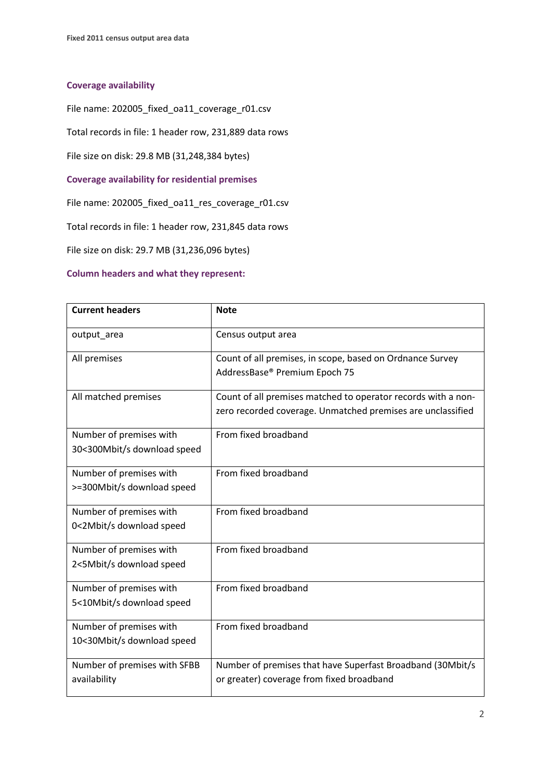## **Coverage availability**

File name: 202005\_fixed\_oa11\_coverage\_r01.csv

Total records in file: 1 header row, 231,889 data rows

File size on disk: 29.8 MB (31,248,384 bytes)

**Coverage availability for residential premises**

File name: 202005\_fixed\_oa11\_res\_coverage\_r01.csv

Total records in file: 1 header row, 231,845 data rows

File size on disk: 29.7 MB (31,236,096 bytes)

## **Column headers and what they represent:**

| <b>Current headers</b>                                 | <b>Note</b>                                                                                                                  |
|--------------------------------------------------------|------------------------------------------------------------------------------------------------------------------------------|
| output_area                                            | Census output area                                                                                                           |
| All premises                                           | Count of all premises, in scope, based on Ordnance Survey<br>AddressBase® Premium Epoch 75                                   |
| All matched premises                                   | Count of all premises matched to operator records with a non-<br>zero recorded coverage. Unmatched premises are unclassified |
| Number of premises with<br>30<300Mbit/s download speed | From fixed broadband                                                                                                         |
| Number of premises with<br>>=300Mbit/s download speed  | From fixed broadband                                                                                                         |
| Number of premises with<br>0<2Mbit/s download speed    | From fixed broadband                                                                                                         |
| Number of premises with<br>2<5Mbit/s download speed    | From fixed broadband                                                                                                         |
| Number of premises with<br>5<10Mbit/s download speed   | From fixed broadband                                                                                                         |
| Number of premises with<br>10<30Mbit/s download speed  | From fixed broadband                                                                                                         |
| Number of premises with SFBB<br>availability           | Number of premises that have Superfast Broadband (30Mbit/s<br>or greater) coverage from fixed broadband                      |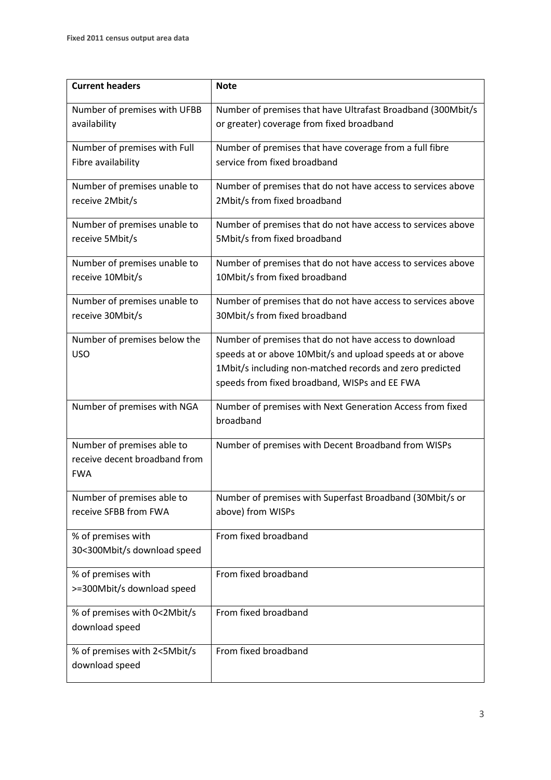| <b>Current headers</b>        | <b>Note</b>                                                  |
|-------------------------------|--------------------------------------------------------------|
| Number of premises with UFBB  | Number of premises that have Ultrafast Broadband (300Mbit/s) |
| availability                  | or greater) coverage from fixed broadband                    |
|                               |                                                              |
| Number of premises with Full  | Number of premises that have coverage from a full fibre      |
| Fibre availability            | service from fixed broadband                                 |
|                               |                                                              |
| Number of premises unable to  | Number of premises that do not have access to services above |
| receive 2Mbit/s               | 2Mbit/s from fixed broadband                                 |
|                               |                                                              |
| Number of premises unable to  | Number of premises that do not have access to services above |
| receive 5Mbit/s               | 5Mbit/s from fixed broadband                                 |
|                               |                                                              |
| Number of premises unable to  | Number of premises that do not have access to services above |
| receive 10Mbit/s              | 10Mbit/s from fixed broadband                                |
|                               |                                                              |
| Number of premises unable to  | Number of premises that do not have access to services above |
| receive 30Mbit/s              | 30Mbit/s from fixed broadband                                |
| Number of premises below the  | Number of premises that do not have access to download       |
| <b>USO</b>                    |                                                              |
|                               | speeds at or above 10Mbit/s and upload speeds at or above    |
|                               | 1Mbit/s including non-matched records and zero predicted     |
|                               | speeds from fixed broadband, WISPs and EE FWA                |
| Number of premises with NGA   | Number of premises with Next Generation Access from fixed    |
|                               | broadband                                                    |
|                               |                                                              |
| Number of premises able to    | Number of premises with Decent Broadband from WISPs          |
| receive decent broadband from |                                                              |
| <b>FWA</b>                    |                                                              |
|                               |                                                              |
| Number of premises able to    | Number of premises with Superfast Broadband (30Mbit/s or     |
| receive SFBB from FWA         | above) from WISPs                                            |
| % of premises with            | From fixed broadband                                         |
|                               |                                                              |
| 30<300Mbit/s download speed   |                                                              |
| % of premises with            | From fixed broadband                                         |
| >=300Mbit/s download speed    |                                                              |
|                               |                                                              |
| % of premises with 0<2Mbit/s  | From fixed broadband                                         |
| download speed                |                                                              |
|                               |                                                              |
| % of premises with 2<5Mbit/s  | From fixed broadband                                         |
| download speed                |                                                              |
|                               |                                                              |